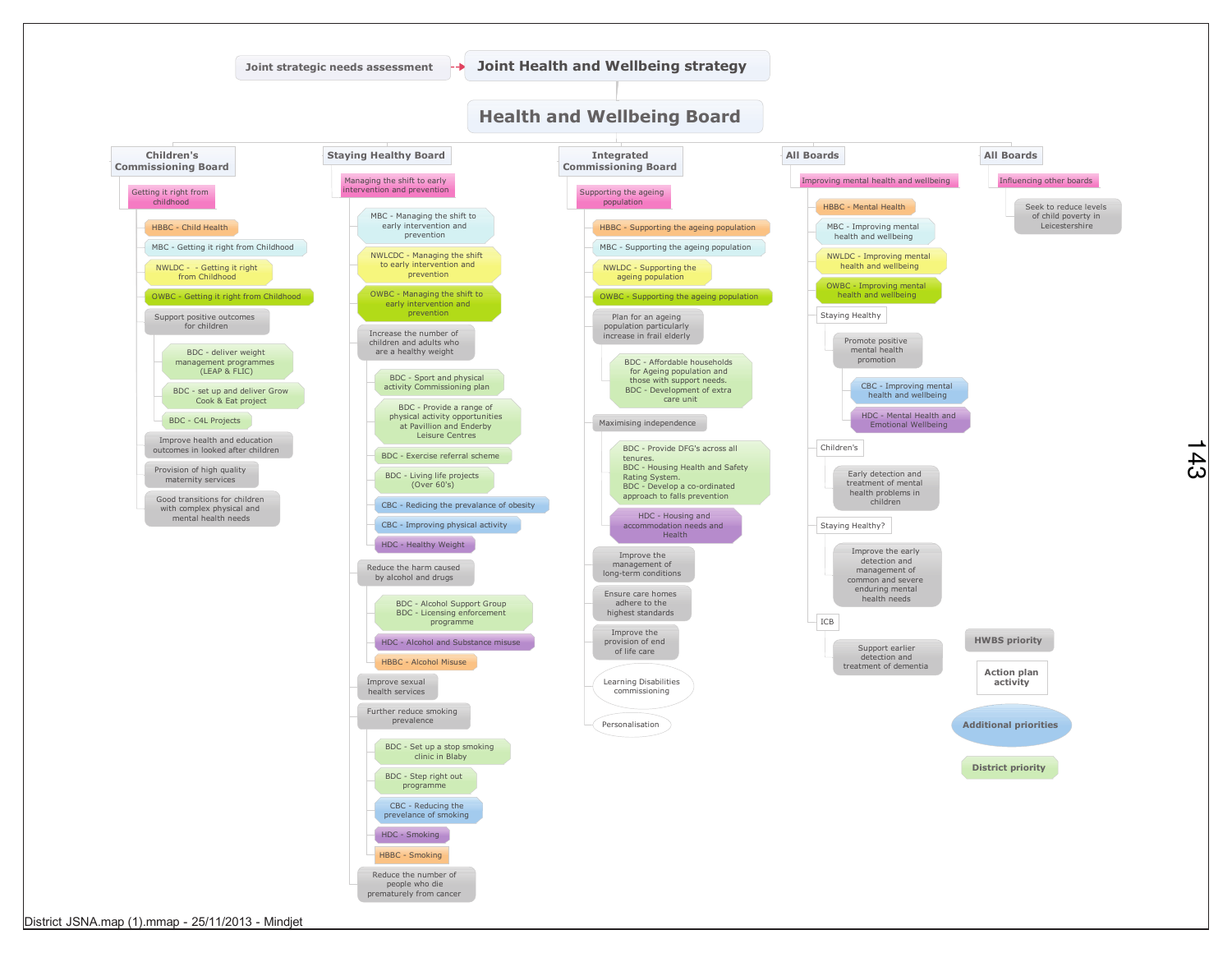

 $43$